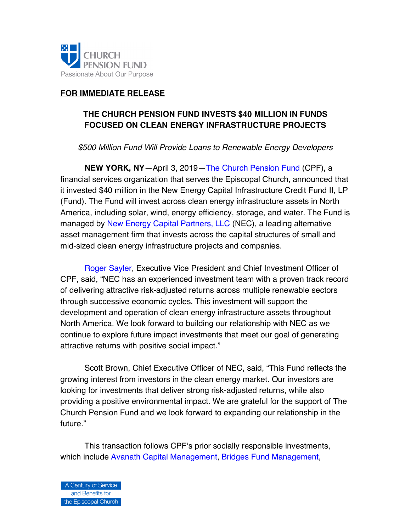

# **FOR IMMEDIATE RELEASE**

# **THE CHURCH PENSION FUND INVESTS \$40 MILLION IN FUNDS FOCUSED ON CLEAN ENERGY INFRASTRUCTURE PROJECTS**

*\$500 Million Fund Will Provide Loans to Renewable Energy Developers* 

**NEW YORK, NY**—April 3, 2019—[The Church Pension Fund](www.cpg.org) (CPF), a financial services organization that serves the Episcopal Church, announced that it invested \$40 million in the New Energy Capital Infrastructure Credit Fund II, LP (Fund). The Fund will invest across clean energy infrastructure assets in North America, including solar, wind, energy efficiency, storage, and water. The Fund is managed by [New Energy Capital Partners, LLC](http://www.newenergycapital.com/) (NEC), a leading alternative asset management firm that invests across the capital structures of small and mid-sized clean energy infrastructure projects and companies.

[Roger Sayler,](https://www.cpg.org/global/about-us/leadership-governance/) Executive Vice President and Chief Investment Officer of CPF, said, "NEC has an experienced investment team with a proven track record of delivering attractive risk-adjusted returns across multiple renewable sectors through successive economic cycles. This investment will support the development and operation of clean energy infrastructure assets throughout North America. We look forward to building our relationship with NEC as we continue to explore future impact investments that meet our goal of generating attractive returns with positive social impact."

Scott Brown, Chief Executive Officer of NEC, said, "This Fund reflects the growing interest from investors in the clean energy market. Our investors are looking for investments that deliver strong risk-adjusted returns, while also providing a positive environmental impact. We are grateful for the support of The Church Pension Fund and we look forward to expanding our relationship in the future."

This transaction follows CPF's prior socially responsible investments, which include [Avanath Capital Management,](https://www.cpg.org/global/about-us/press/videos/#avanath) [Bridges Fund Management](https://www.cpg.org/global/about-us/press/videos/#bridges)[,](www.cpg.org/bridges)